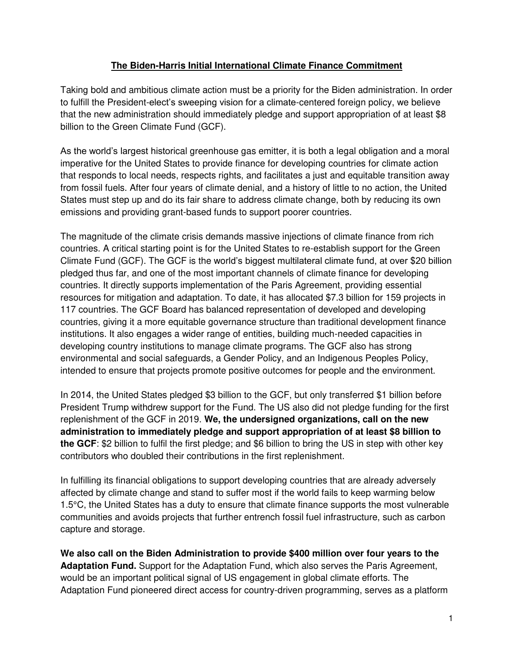## **The Biden-Harris Initial International Climate Finance Commitment**

Taking bold and ambitious climate action must be a priority for the Biden administration. In order to fulfill the President-elect's sweeping vision for a climate-centered foreign policy, we believe that the new administration should immediately pledge and support appropriation of at least \$8 billion to the Green Climate Fund (GCF).

As the world's largest historical greenhouse gas emitter, it is both a legal obligation and a moral imperative for the United States to provide finance for developing countries for climate action that responds to local needs, respects rights, and facilitates a just and equitable transition away from fossil fuels. After four years of climate denial, and a history of little to no action, the United States must step up and do its fair share to address climate change, both by reducing its own emissions and providing grant-based funds to support poorer countries.

The magnitude of the climate crisis demands massive injections of climate finance from rich countries. A critical starting point is for the United States to re-establish support for the Green Climate Fund (GCF). The GCF is the world's biggest multilateral climate fund, at over \$20 billion pledged thus far, and one of the most important channels of climate finance for developing countries. It directly supports implementation of the Paris Agreement, providing essential resources for mitigation and adaptation. To date, it has allocated \$7.3 billion for 159 projects in 117 countries. The GCF Board has balanced representation of developed and developing countries, giving it a more equitable governance structure than traditional development finance institutions. It also engages a wider range of entities, building much-needed capacities in developing country institutions to manage climate programs. The GCF also has strong environmental and social safeguards, a Gender Policy, and an Indigenous Peoples Policy, intended to ensure that projects promote positive outcomes for people and the environment.

In 2014, the United States pledged \$3 billion to the GCF, but only transferred \$1 billion before President Trump withdrew support for the Fund. The US also did not pledge funding for the first replenishment of the GCF in 2019. **We, the undersigned organizations, call on the new administration to immediately pledge and support appropriation of at least \$8 billion to the GCF**: \$2 billion to fulfil the first pledge; and \$6 billion to bring the US in step with other key contributors who doubled their contributions in the first replenishment.

In fulfilling its financial obligations to support developing countries that are already adversely affected by climate change and stand to suffer most if the world fails to keep warming below 1.5°C, the United States has a duty to ensure that climate finance supports the most vulnerable communities and avoids projects that further entrench fossil fuel infrastructure, such as carbon capture and storage.

**We also call on the Biden Administration to provide \$400 million over four years to the Adaptation Fund.** Support for the Adaptation Fund, which also serves the Paris Agreement, would be an important political signal of US engagement in global climate efforts. The Adaptation Fund pioneered direct access for country-driven programming, serves as a platform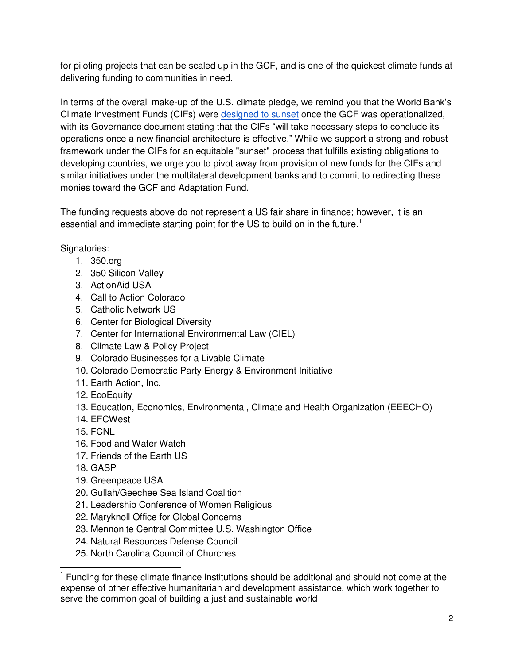for piloting projects that can be scaled up in the GCF, and is one of the quickest climate funds at delivering funding to communities in need.

In terms of the overall make-up of the U.S. climate pledge, we remind you that the World Bank's Climate Investment Funds (CIFs) were [designed to sunset](https://www.climateinvestmentfunds.org/sites/cif_enc/files/meeting-documents/ctf_governance_framework_revised_2014_0.pdf) once the GCF was operationalized, with its Governance document stating that the CIFs "will take necessary steps to conclude its operations once a new financial architecture is effective." While we support a strong and robust framework under the CIFs for an equitable "sunset" process that fulfills existing obligations to developing countries, we urge you to pivot away from provision of new funds for the CIFs and similar initiatives under the multilateral development banks and to commit to redirecting these monies toward the GCF and Adaptation Fund.

The funding requests above do not represent a US fair share in finance; however, it is an essential and immediate starting point for the US to build on in the future.<sup>1</sup>

Signatories:

- 1. 350.org
- 2. 350 Silicon Valley
- 3. ActionAid USA
- 4. Call to Action Colorado
- 5. Catholic Network US
- 6. Center for Biological Diversity
- 7. Center for International Environmental Law (CIEL)
- 8. Climate Law & Policy Project
- 9. Colorado Businesses for a Livable Climate
- 10. Colorado Democratic Party Energy & Environment Initiative
- 11. Earth Action, Inc.
- 12. EcoEquity
- 13. Education, Economics, Environmental, Climate and Health Organization (EEECHO)
- 14. EFCWest
- 15. FCNL
- 16. Food and Water Watch
- 17. Friends of the Earth US
- 18. GASP

- 19. Greenpeace USA
- 20. Gullah/Geechee Sea Island Coalition
- 21. Leadership Conference of Women Religious
- 22. Maryknoll Office for Global Concerns
- 23. Mennonite Central Committee U.S. Washington Office
- 24. Natural Resources Defense Council
- 25. North Carolina Council of Churches

 $1$  Funding for these climate finance institutions should be additional and should not come at the expense of other effective humanitarian and development assistance, which work together to serve the common goal of building a just and sustainable world